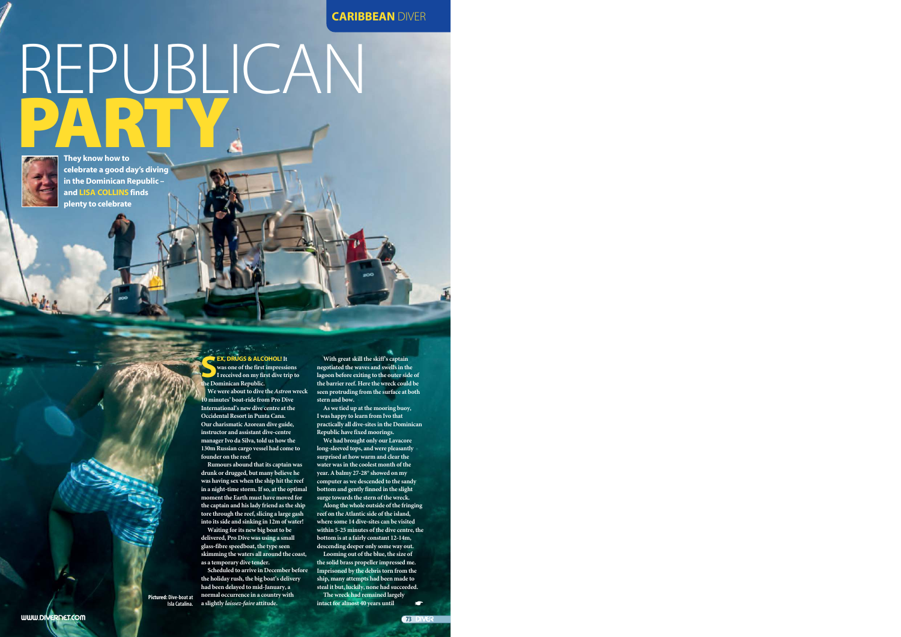#### **CARIBBEAN** DIVER

# REPUBLICAN PARTY



**They know how to celebrate a good day's diving in the Dominican Republic – and LISA COLLINS finds plenty to celebrate**

> **EX, DRUGS & ALC**<br>
> was one of the first<br>
> I received on my fit<br>
> the Dominican Republic. **EX, DRUGS & ALCOHOL!It was one of the first impressions I received on my first dive trip to**

**We were about to dive the** *Astron***wreck 10 minutes' boat-ride from Pro Dive International's new dive centre at the Occidental Resort in Punta Cana. Our charismatic Azorean dive guide, instructor and assistant dive-centre manager Ivo da Silva, told us how the 130m Russian cargo vessel had come to founder on the reef.**

**Rumours abound that its captain was drunk or drugged, but many believe he was having sex when the ship hit the reef in a night-time storm. If so, at the optimal moment the Earth must have moved for the captain and his lady friend as the ship tore through the reef, slicing a large gash into its side and sinking in 12m of water!**

**Waiting for its new big boat to be delivered, Pro Dive was using a small glass-fibre speedboat, the type seen skimming the waters all around the coast, as a temporary dive tender.** 

**Scheduled to arrive in December before the holiday rush, the big boat's delivery had been delayed to mid-January, a normal occurrence in a country with a slightly** *laissez-faire* **attitude. intact for almost 40 years until**<br> **Isla Catalina.** a slightly *laissez-faire* attitude. **intact for almost 40 years until** 

**With great skill the skiff's captain negotiated the waves and swells in the lagoon before exiting to the outer side of the barrier reef. Here the wreck could be seen protruding from the surface at both stern and bow.**

**As we tied up at the mooring buoy, I was happy to learn from Ivo that practically all dive-sites in the Dominican Republic have fixed moorings.**

**We had brought only our Lavacore long-sleeved tops, and were pleasantly surprised at how warm and clear the water was in the coolest month of the year. A balmy 27-28° showed on my computer as we descended to the sandy bottom and gently finned in the slight surge towards the stern of the wreck.**

**Along the whole outside of the fringing reef on the Atlantic side of the island, where some 14 dive-sites can be visited within 5-25 minutes of the dive centre, the bottom is at a fairly constant 12-14m, descending deeper only some way out.**

**Looming out of the blue, the size of the solid brass propeller impressed me. Imprisoned by the debris torn from the ship, many attempts had been made to steal it but, luckily, none had succeeded.**

**The wreck had remained largely**

**Pictured: Dive-boat at**

**73 DIVER**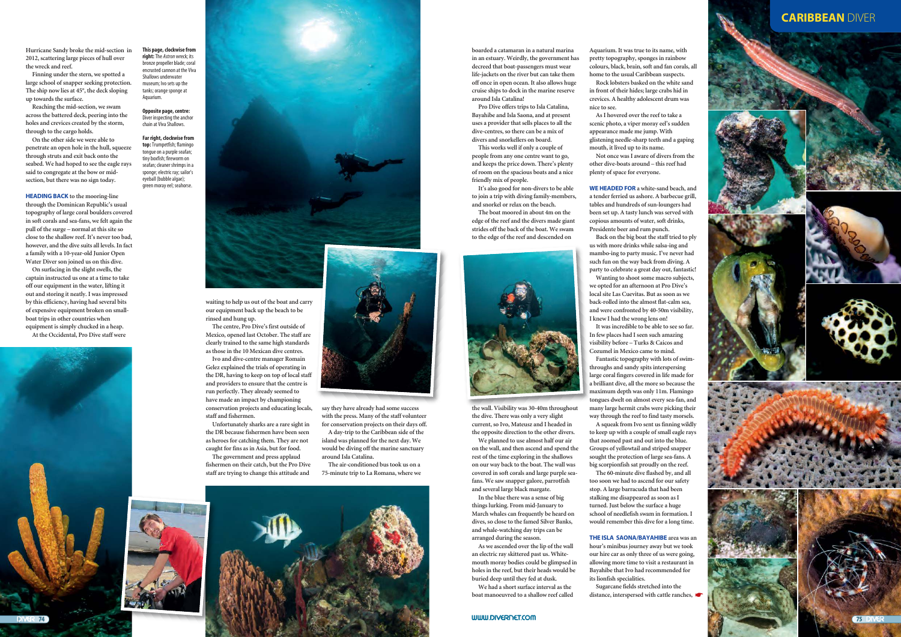**Hurricane Sandy broke the mid-section in 2012, scattering large pieces of hull over the wreck and reef.**

**Finning under the stern, we spotted a large school of snapper seeking protection. The ship now lies at 45°, the deck sloping up towards the surface.** 

**Reaching the mid-section, we swam across the battered deck, peering into the holes and crevices created by the storm, through to the cargo holds.**

**On the other side we were able to penetrate an open hole in the hull, squeeze through struts and exit back onto the seabed. We had hoped to see the eagle rays said to congregate at the bow or midsection, but there was no sign today.**

**HEADING BACK to the mooring-line through the Dominican Republic's usual topography of large coral boulders covered in soft corals and sea-fans, we felt again the pull of the surge – normal at this site so close to the shallow reef. It's never too bad, however, and the dive suits all levels. In fact a family with a 10-year-old Junior Open Water Diver son joined us on this dive.**

**On surfacing in the slight swells, the captain instructed us one at a time to take off our equipment in the water, lifting it out and storing it neatly. I was impressed by this efficiency, having had several bits of expensive equipment broken on smallboat trips in other countries when equipment is simply chucked in a heap.**

**At the Occidental, Pro Dive staff were**



**waiting to help us out of the boat and carry our equipment back up the beach to be rinsed and hung up.**

**The centre, Pro Dive's first outside of Mexico, opened last October. The staff are clearly trained to the same high standards as those in the 10 Mexican dive centres. Ivo and dive-centre manager Romain**

**Gelez explained the trials of operating in the DR, having to keep on top of local staff and providers to ensure that the centre is run perfectly. They already seemed to have made an impact by championing conservation projects and educating locals, staff and fishermen.** 

**Unfortunately sharks are a rare sight in the DR because fishermen have been seen as heroes for catching them. They are not caught for fins as in Asia, but for food.** 

**The government and press applaud fishermen on their catch, but the Pro Dive staff are trying to change this attitude and**



### **CARIBBEAN DIVER**











**This page, clockwise from right:** The *Astron* wreck; its bronze propeller blade; coral encrusted cannon at the Viva Shallows underwater museum; Ivo sets un the tanks; orange sponge at Aquarium.

**Opposite page, centre:** Diver inspecting the anchor chain at Viva Shallows.

**Far right, clockwise from top:** Trumpetfish; flamingo tongue on a purple seafan; tiny boxfish; fireworm on seafan; cleaner shrimps in a sponge; electric ray; sailor's eyeball (bubble algae); green moray eel; seahorse.



**boarded a catamaran in a natural marina in an estuary. Weirdly, the government has decreed that boat-passengers must wear life-jackets on the river but can take them off once in open ocean. It also allows huge cruise ships to dock in the marine reserve around Isla Catalina!**

**Pro Dive offers trips to Isla Catalina, Bayahibe and Isla Saona, and at present uses a provider that sells places to all the dive-centres, so there can be a mix of divers and snorkellers on board.** 

**This works well if only a couple of people from any one centre want to go, and keeps the price down. There's plenty of room on the spacious boats and a nice friendly mix of people.** 

**It's also good for non-divers to be able to join a trip with diving family-members, and snorkel or relax on the beach.**

**The boat moored in about 4m on the edge of the reef and the divers made giant strides off the back of the boat. We swam to the edge of the reef and descended on**



**the wall. Visibility was 30-40m throughout the dive. There was only a very slight current, so Ivo, Mateusz and I headed in the opposite direction to the other divers.**

**We planned to use almost half our air on the wall, and then ascend and spend the rest of the time exploring in the shallows on our way back to the boat. The wall was covered in soft corals and large purple seafans. We saw snapper galore, parrotfish and several large black margate.**

**In the blue there was a sense of big things lurking. From mid-January to March whales can frequently be heard on dives, so close to the famed Silver Banks, and whale-watching day trips can be arranged during the season.**

**As we ascended over the lip of the wall an electric ray skittered past us. Whitemouth moray bodies could be glimpsed in holes in the reef, but their heads would be buried deep until they fed at dusk.**

**We had a short surface interval as the boat manoeuvred to a shallow reef called** **Aquarium. It was true to its name, with pretty topography, sponges in rainbow colours, black, brain, soft and fan corals, all home to the usual Caribbean suspects.** 

**Rock lobsters basked on the white sand in front of their hides; large crabs hid in crevices. A healthy adolescent drum was nice to see.**

**As I hovered over the reef to take a scenic photo, a viper moray eel's sudden appearance made me jump. With glistening needle-sharp teeth and a gaping mouth, it lived up to its name.**

**Not once was I aware of divers from the other dive-boats around – this reef had plenty of space for everyone.**

**WE HEADED FOR a white-sand beach, and a tender ferried us ashore. A barbecue grill, tables and hundreds of sun-loungers had been set up. A tasty lunch was served with copious amounts of water, soft drinks, Presidente beer and rum punch.**

**Back on the big boat the staff tried to ply us with more drinks while salsa-ing and mambo-ing to party music. I've never had such fun on the way back from diving. A party to celebrate a great day out, fantastic!**

**Wanting to shoot some macro subjects, we opted for an afternoon at Pro Dive's local site Las Cuevitas. But as soon as we back-rolled into the almost flat-calm sea, and were confronted by 40-50m visibility, I knew I had the wrong lens on!** 

**It was incredible to be able to see so far. In few places had I seen such amazing visibility before – Turks & Caicos and Cozumel in Mexico came to mind. Fantastic topography with lots of swim-**

**throughs and sandy spits interspersing large coral fingers covered in life made for a brilliant dive, all the more so because the maximum depth was only 11m. Flamingo tongues dwelt on almost every sea-fan, and many large hermit crabs were picking their way through the reef to find tasty morsels.** 

**A squeak from Ivo sent us finning wildly to keep up with a couple of small eagle rays that zoomed past and out into the blue. Groups of yellowtail and striped snapper sought the protection of large sea-fans. A big scorpionfish sat proudly on the reef.** 

**The 60-minute dive flashed by, and all too soon we had to ascend for our safety stop. A large barracuda that had been stalking me disappeared as soon as I turned. Just below the surface a huge school of needlefish swam in formation. I would remember this dive for a long time.**

**THE ISLA SAONA/BAYAHIBE area was an hour's minibus journey away but we took our hire car as only three of us were going, allowing more time to visit a restaurant in Bayahibe that Ivo had recommended for its lionfish specialities.**

**Sugarcane fields stretched into the distance, interspersed with cattle ranches,** ☛

**say they have already had some success with the press. Many of the staff volunteer for conservation projects on their days off. A day-trip to the Caribbean side of the island was planned for the next day. We would be diving off the marine sanctuary around Isla Catalina.**

**The air-conditioned bus took us on a 75-minute trip to La Romana, where we**